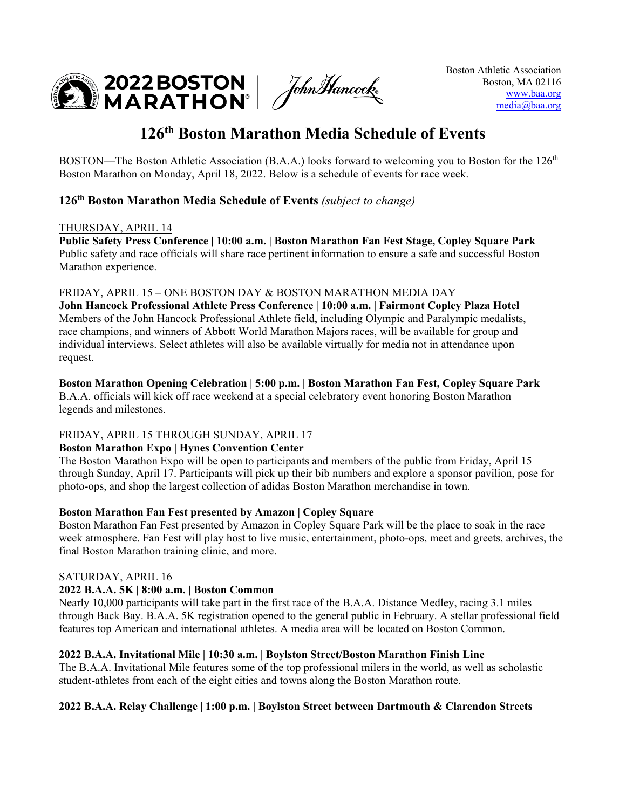$\mathbf{M}$  2022 BOSTON  $\int$  fohn Hancock  $\mathbf{M}$ 

# **126th Boston Marathon Media Schedule of Events**

BOSTON—The Boston Athletic Association (B.A.A.) looks forward to welcoming you to Boston for the  $126<sup>th</sup>$ Boston Marathon on Monday, April 18, 2022. Below is a schedule of events for race week.

## **126th Boston Marathon Media Schedule of Events** *(subject to change)*

#### THURSDAY, APRIL 14

**Public Safety Press Conference | 10:00 a.m. | Boston Marathon Fan Fest Stage, Copley Square Park** Public safety and race officials will share race pertinent information to ensure a safe and successful Boston Marathon experience.

## FRIDAY, APRIL 15 – ONE BOSTON DAY & BOSTON MARATHON MEDIA DAY

**John Hancock Professional Athlete Press Conference | 10:00 a.m. | Fairmont Copley Plaza Hotel** Members of the John Hancock Professional Athlete field, including Olympic and Paralympic medalists, race champions, and winners of Abbott World Marathon Majors races, will be available for group and individual interviews. Select athletes will also be available virtually for media not in attendance upon request.

## **Boston Marathon Opening Celebration | 5:00 p.m. | Boston Marathon Fan Fest, Copley Square Park**

B.A.A. officials will kick off race weekend at a special celebratory event honoring Boston Marathon legends and milestones.

## FRIDAY, APRIL 15 THROUGH SUNDAY, APRIL 17

#### **Boston Marathon Expo | Hynes Convention Center**

The Boston Marathon Expo will be open to participants and members of the public from Friday, April 15 through Sunday, April 17. Participants will pick up their bib numbers and explore a sponsor pavilion, pose for photo-ops, and shop the largest collection of adidas Boston Marathon merchandise in town.

## **Boston Marathon Fan Fest presented by Amazon | Copley Square**

Boston Marathon Fan Fest presented by Amazon in Copley Square Park will be the place to soak in the race week atmosphere. Fan Fest will play host to live music, entertainment, photo-ops, meet and greets, archives, the final Boston Marathon training clinic, and more.

## SATURDAY, APRIL 16

## **2022 B.A.A. 5K | 8:00 a.m. | Boston Common**

Nearly 10,000 participants will take part in the first race of the B.A.A. Distance Medley, racing 3.1 miles through Back Bay. B.A.A. 5K registration opened to the general public in February. A stellar professional field features top American and international athletes. A media area will be located on Boston Common.

## **2022 B.A.A. Invitational Mile | 10:30 a.m. | Boylston Street/Boston Marathon Finish Line**

The B.A.A. Invitational Mile features some of the top professional milers in the world, as well as scholastic student-athletes from each of the eight cities and towns along the Boston Marathon route.

## **2022 B.A.A. Relay Challenge | 1:00 p.m. | Boylston Street between Dartmouth & Clarendon Streets**